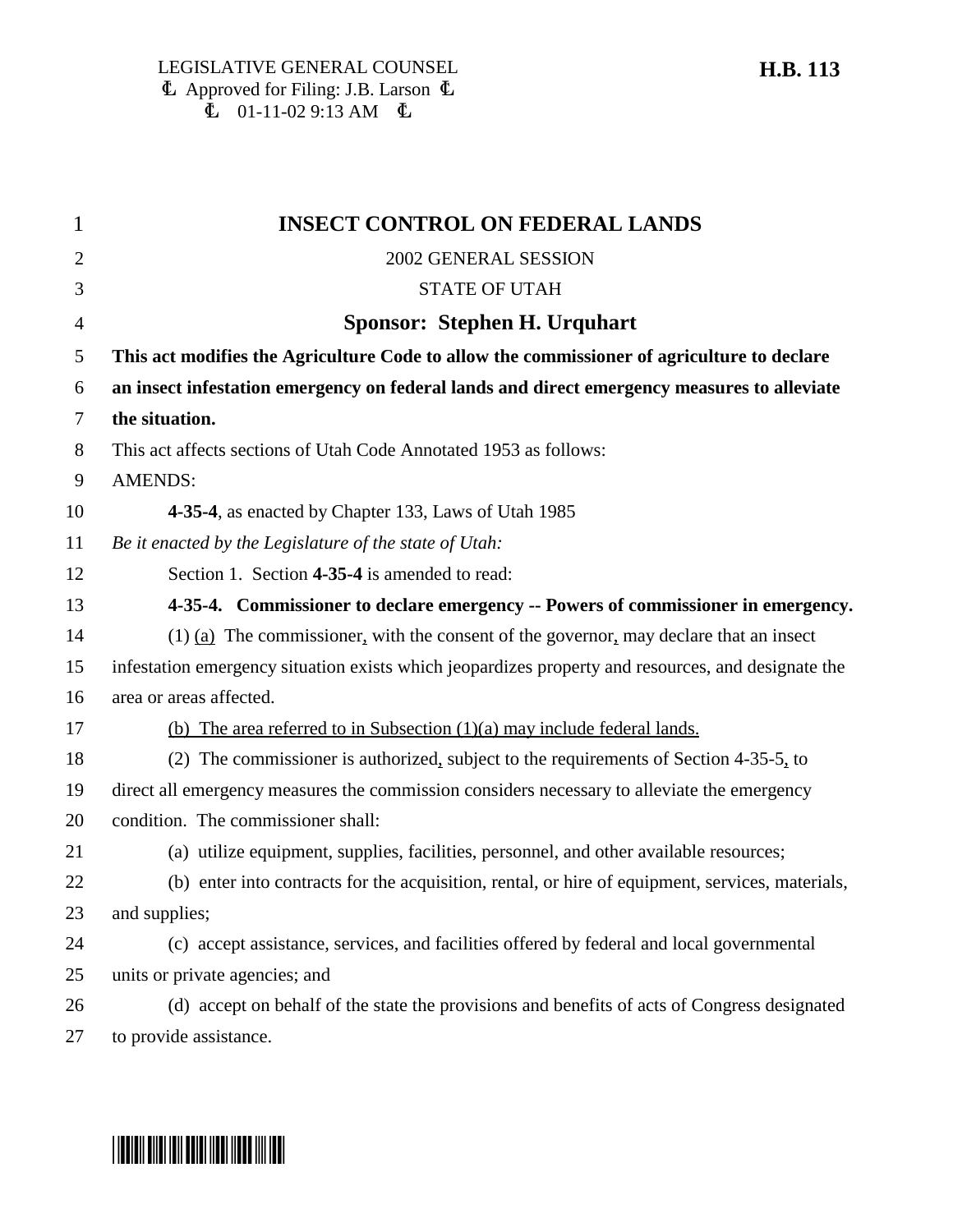| 1              | <b>INSECT CONTROL ON FEDERAL LANDS</b>                                                             |
|----------------|----------------------------------------------------------------------------------------------------|
| $\overline{2}$ | 2002 GENERAL SESSION                                                                               |
| 3              | <b>STATE OF UTAH</b>                                                                               |
| $\overline{4}$ | Sponsor: Stephen H. Urquhart                                                                       |
| 5              | This act modifies the Agriculture Code to allow the commissioner of agriculture to declare         |
| 6              | an insect infestation emergency on federal lands and direct emergency measures to alleviate        |
| 7              | the situation.                                                                                     |
| 8              | This act affects sections of Utah Code Annotated 1953 as follows:                                  |
| 9              | <b>AMENDS:</b>                                                                                     |
| 10             | 4-35-4, as enacted by Chapter 133, Laws of Utah 1985                                               |
| 11             | Be it enacted by the Legislature of the state of Utah:                                             |
| 12             | Section 1. Section 4-35-4 is amended to read:                                                      |
| 13             | 4-35-4. Commissioner to declare emergency -- Powers of commissioner in emergency.                  |
| 14             | $(1)$ (a) The commissioner, with the consent of the governor, may declare that an insect           |
| 15             | infestation emergency situation exists which jeopardizes property and resources, and designate the |
| 16             | area or areas affected.                                                                            |
| 17             | (b) The area referred to in Subsection $(1)(a)$ may include federal lands.                         |
| 18             | (2) The commissioner is authorized, subject to the requirements of Section 4-35-5, to              |
| 19             | direct all emergency measures the commission considers necessary to alleviate the emergency        |
| 20             | condition. The commissioner shall:                                                                 |
| 21             | (a) utilize equipment, supplies, facilities, personnel, and other available resources;             |
| 22             | (b) enter into contracts for the acquisition, rental, or hire of equipment, services, materials,   |
| 23             | and supplies;                                                                                      |
| 24             | (c) accept assistance, services, and facilities offered by federal and local governmental          |
| 25             | units or private agencies; and                                                                     |
| 26             | (d) accept on behalf of the state the provisions and benefits of acts of Congress designated       |
| 27             | to provide assistance.                                                                             |

## **H.B. 113**

## \*HB0113\*